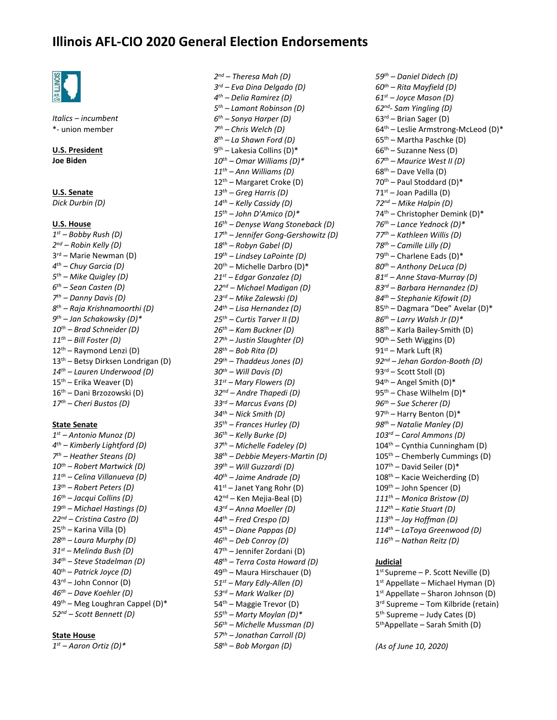## **Illinois AFL-CIO 2020 General Election Endorsements**



*Italics – incumbent*  \*- union member

**U.S. President Joe Biden**

**U.S. Senate**  *Dick Durbin (D)* 

#### **U.S. House**

 *st – Bobby Rush (D) nd – Robin Kelly (D)*  rd – Marie Newman (D) *th – Chuy Garcia (D) th – Mike Quigley (D) th – Sean Casten (D) th – Danny Davis (D) th – Raja Krishnamoorthi (D) th – Jan Schakowsky (D)\* th – Brad Schneider (D) th – Bill Foster (D)*  th – Raymond Lenzi (D) th – Betsy Dirksen Londrigan (D) *th – Lauren Underwood (D)*  th – Erika Weaver (D) th – Dani Brzozowski (D) *th – Cheri Bustos (D)* 

#### **State Senate**

 *st – Antonio Munoz (D) th – Kimberly Lightford (D) th – Heather Steans (D) th – Robert Martwick (D) th – Celina Villanueva (D) th – Robert Peters (D) th – Jacqui Collins (D) th – Michael Hastings (D) nd – Cristina Castro (D)*  th – Karina Villa (D) *th – Laura Murphy (D) st – Melinda Bush (D) th – Steve Stadelman (D)*  th – *Patrick Joyce (D)*  $43<sup>rd</sup>$  – John Connor (D) *th – Dave Koehler (D)*  th – Meg Loughran Cappel (D)\* *nd – Scott Bennett (D)* 

#### **State House**

*st – Aaron Ortiz (D)\** 

 *nd – Theresa Mah (D) rd – Eva Dina Delgado (D) th – Delia Ramirez (D) th – Lamont Robinson (D) th – Sonya Harper (D) th – Chris Welch (D) th – La Shawn Ford (D)*  9<sup>th</sup> – Lakesia Collins (D)\* *th – Omar Williams (D)\* th – Ann Williams (D)*  th – Margaret Croke (D) *th – Greg Harris (D) th – Kelly Cassidy (D) th – John D'Amico (D)\* th – Denyse Wang Stoneback (D) th – Jennifer Gong-Gershowitz (D) th – Robyn Gabel (D) th – Lindsey LaPointe (D)*  th – Michelle Darbro (D)\* *st – Edgar Gonzalez (D) nd – Michael Madigan (D) rd – Mike Zalewski (D) th – Lisa Hernandez (D) th – Curtis Tarver II (D) th – Kam Buckner (D) th – Justin Slaughter (D) th – Bob Rita (D) th – Thaddeus Jones (D) th – Will Davis (D) st – Mary Flowers (D) nd – Andre Thapedi (D) rd – Marcus Evans (D) th – Nick Smith (D) th – Frances Hurley (D) th – Kelly Burke (D) th – Michelle Fadeley (D) th – Debbie Meyers-Martin (D) th – Will Guzzardi (D) th – Jaime Andrade (D)*   $41<sup>st</sup>$  – Janet Yang Rohr (D) 42<sup>nd</sup> – Ken Mejia-Beal (D) *rd – Anna Moeller (D) th – Fred Crespo (D) th – Diane Pappas (D) th – Deb Conroy (D)*  th – Jennifer Zordani (D) *th – Terra Costa Howard (D)*  th – Maura Hirschauer (D) *st – Mary Edly-Allen (D) rd – Mark Walker (D)*  th – Maggie Trevor (D) *th – Marty Moylan (D)\* th – Michelle Mussman (D) th – Jonathan Carroll (D) th – Bob Morgan (D)* 

*th – Daniel Didech (D) th – Rita Mayfield (D) st – Joyce Mason (D) nd- Sam Yingling (D)*  rd – Brian Sager (D) th – Leslie Armstrong-McLeod (D)\* th – Martha Paschke (D) th – Suzanne Ness (D) *th – Maurice West II (D)*  th – Dave Vella (D) th – Paul Stoddard (D)\*  $71<sup>st</sup>$  – Joan Padilla (D) *nd – Mike Halpin (D)*  th – Christopher Demink (D)\* *th – Lance Yednock (D)\* th – Kathleen Willis (D) th – Camille Lilly (D)*   $79<sup>th</sup>$  – Charlene Eads (D)\* *th – Anthony DeLuca (D) st – Anne Stava-Murray (D) rd – Barbara Hernandez (D) th – Stephanie Kifowit (D)*  th – Dagmara "Dee" Avelar (D)\* *th – Larry Walsh Jr (D)\**  th – Karla Bailey-Smith (D) th – Seth Wiggins (D) 91<sup>st</sup> – Mark Luft (R) *nd – Jehan Gordon-Booth (D)*  rd – Scott Stoll (D)  $94<sup>th</sup>$  – Angel Smith (D)\* th – Chase Wilhelm (D)\* *th – Sue Scherer (D)*  97<sup>th</sup> – Harry Benton (D)\* *th – Natalie Manley (D) rd – Carol Ammons (D)*  104<sup>th</sup> – Cynthia Cunningham (D) th – Chemberly Cummings (D)  $107<sup>th</sup>$  – David Seiler (D)\* th – Kacie Weicherding (D) th – John Spencer (D) *th – Monica Bristow (D) th – Katie Stuart (D) th – Jay Hoffman (D) th – LaToya Greenwood (D) th – Nathan Reitz (D)* 

#### **Judicial**

 st Supreme – P. Scott Neville (D) st Appellate – Michael Hyman (D) st Appellate – Sharon Johnson (D) rd Supreme – Tom Kilbride (retain) th Supreme – Judy Cates (D) thAppellate – Sarah Smith (D)

*(As of June 10, 2020)*